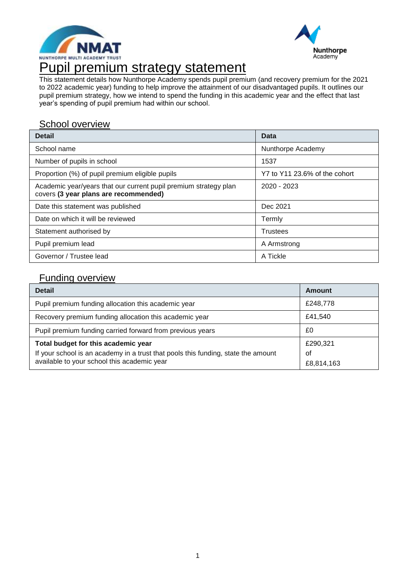



This statement details how Nunthorpe Academy spends pupil premium (and recovery premium for the 2021 to 2022 academic year) funding to help improve the attainment of our disadvantaged pupils. It outlines our pupil premium strategy, how we intend to spend the funding in this academic year and the effect that last year's spending of pupil premium had within our school.

### School overview

| <b>Detail</b>                                                                                             | <b>Data</b>                   |
|-----------------------------------------------------------------------------------------------------------|-------------------------------|
| School name                                                                                               | Nunthorpe Academy             |
| Number of pupils in school                                                                                | 1537                          |
| Proportion (%) of pupil premium eligible pupils                                                           | Y7 to Y11 23.6% of the cohort |
| Academic year/years that our current pupil premium strategy plan<br>covers (3 year plans are recommended) | 2020 - 2023                   |
| Date this statement was published                                                                         | Dec 2021                      |
| Date on which it will be reviewed                                                                         | Termly                        |
| Statement authorised by                                                                                   | <b>Trustees</b>               |
| Pupil premium lead                                                                                        | A Armstrong                   |
| Governor / Trustee lead                                                                                   | A Tickle                      |

### Funding overview

| <b>Detail</b>                                                                                                                                                           | Amount                       |
|-------------------------------------------------------------------------------------------------------------------------------------------------------------------------|------------------------------|
| Pupil premium funding allocation this academic year                                                                                                                     | £248,778                     |
| Recovery premium funding allocation this academic year                                                                                                                  | £41,540                      |
| Pupil premium funding carried forward from previous years                                                                                                               | £0                           |
| Total budget for this academic year<br>If your school is an academy in a trust that pools this funding, state the amount<br>available to your school this academic year | £290,321<br>οf<br>£8,814,163 |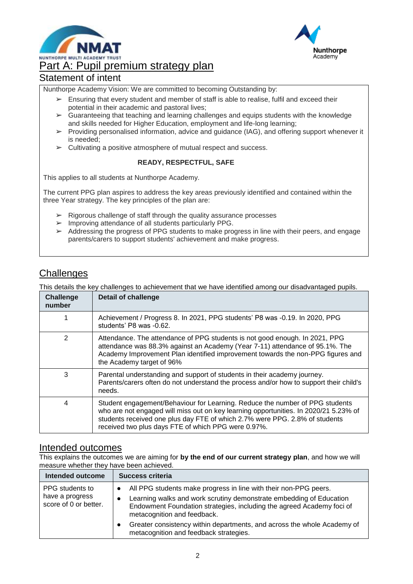



# Part A: Pupil premium strategy plan

### Statement of intent

Nunthorpe Academy Vision: We are committed to becoming Outstanding by:

- ➢ Ensuring that every student and member of staff is able to realise, fulfil and exceed their potential in their academic and pastoral lives;
- $\triangleright$  Guaranteeing that teaching and learning challenges and equips students with the knowledge and skills needed for Higher Education, employment and life-long learning;
- ➢ Providing personalised information, advice and guidance (IAG), and offering support whenever it is needed;
- $\triangleright$  Cultivating a positive atmosphere of mutual respect and success.

### **READY, RESPECTFUL, SAFE**

This applies to all students at Nunthorpe Academy.

The current PPG plan aspires to address the key areas previously identified and contained within the three Year strategy. The key principles of the plan are:

- $\triangleright$  Rigorous challenge of staff through the quality assurance processes
- ➢ Improving attendance of all students particularly PPG.
- $\geq$  Addressing the progress of PPG students to make progress in line with their peers, and engage parents/carers to support students' achievement and make progress.

### **Challenges**

This details the key challenges to achievement that we have identified among our disadvantaged pupils.

| <b>Challenge</b><br>number | <b>Detail of challenge</b>                                                                                                                                                                                                                                                                                 |
|----------------------------|------------------------------------------------------------------------------------------------------------------------------------------------------------------------------------------------------------------------------------------------------------------------------------------------------------|
|                            | Achievement / Progress 8. In 2021, PPG students' P8 was -0.19. In 2020, PPG<br>students' P8 was -0.62.                                                                                                                                                                                                     |
| $\overline{2}$             | Attendance. The attendance of PPG students is not good enough. In 2021, PPG<br>attendance was 88.3% against an Academy (Year 7-11) attendance of 95.1%. The<br>Academy Improvement Plan identified improvement towards the non-PPG figures and<br>the Academy target of 96%                                |
| 3                          | Parental understanding and support of students in their academy journey.<br>Parents/carers often do not understand the process and/or how to support their child's<br>needs.                                                                                                                               |
| 4                          | Student engagement/Behaviour for Learning. Reduce the number of PPG students<br>who are not engaged will miss out on key learning opportunities. In 2020/21 5.23% of<br>students received one plus day FTE of which 2.7% were PPG. 2.8% of students<br>received two plus days FTE of which PPG were 0.97%. |

### Intended outcomes

This explains the outcomes we are aiming for **by the end of our current strategy plan**, and how we will measure whether they have been achieved.

| Intended outcome                                            | Success criteria                                                                                                                                                                                                                                                                                                                                                     |
|-------------------------------------------------------------|----------------------------------------------------------------------------------------------------------------------------------------------------------------------------------------------------------------------------------------------------------------------------------------------------------------------------------------------------------------------|
| PPG students to<br>have a progress<br>score of 0 or better. | All PPG students make progress in line with their non-PPG peers.<br>Learning walks and work scrutiny demonstrate embedding of Education<br>Endowment Foundation strategies, including the agreed Academy foci of<br>metacognition and feedback.<br>Greater consistency within departments, and across the whole Academy of<br>metacognition and feedback strategies. |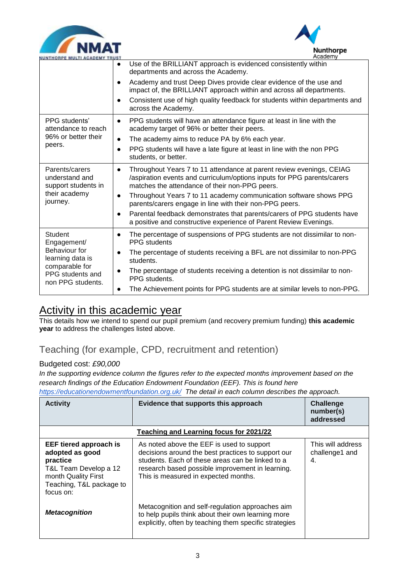



| NUNTHORPE MULTI ACADEMY TRUST                           | Academy                                                                                                                                                                                                        |
|---------------------------------------------------------|----------------------------------------------------------------------------------------------------------------------------------------------------------------------------------------------------------------|
|                                                         | Use of the BRILLIANT approach is evidenced consistently within<br>$\bullet$<br>departments and across the Academy.                                                                                             |
|                                                         | Academy and trust Deep Dives provide clear evidence of the use and<br>$\bullet$<br>impact of, the BRILLIANT approach within and across all departments.                                                        |
|                                                         | Consistent use of high quality feedback for students within departments and<br>$\bullet$<br>across the Academy.                                                                                                |
| PPG students'<br>attendance to reach                    | PPG students will have an attendance figure at least in line with the<br>$\bullet$<br>academy target of 96% or better their peers.                                                                             |
| 96% or better their                                     | The academy aims to reduce PA by 6% each year.<br>$\bullet$                                                                                                                                                    |
| peers.                                                  | PPG students will have a late figure at least in line with the non PPG<br>$\bullet$<br>students, or better.                                                                                                    |
| Parents/carers<br>understand and<br>support students in | Throughout Years 7 to 11 attendance at parent review evenings, CEIAG<br>$\bullet$<br>/aspiration events and curriculum/options inputs for PPG parents/carers<br>matches the attendance of their non-PPG peers. |
| their academy<br>journey.                               | Throughout Years 7 to 11 academy communication software shows PPG<br>$\bullet$<br>parents/carers engage in line with their non-PPG peers.                                                                      |
|                                                         | Parental feedback demonstrates that parents/carers of PPG students have<br>$\bullet$<br>a positive and constructive experience of Parent Review Evenings.                                                      |
| <b>Student</b><br>Engagement/                           | The percentage of suspensions of PPG students are not dissimilar to non-<br>$\bullet$<br>PPG students                                                                                                          |
| Behaviour for<br>learning data is                       | The percentage of students receiving a BFL are not dissimilar to non-PPG<br>$\bullet$<br>students.                                                                                                             |
| comparable for<br>PPG students and<br>non PPG students. | The percentage of students receiving a detention is not dissimilar to non-<br>$\bullet$<br>PPG students.                                                                                                       |
|                                                         | The Achievement points for PPG students are at similar levels to non-PPG.                                                                                                                                      |

## Activity in this academic year

This details how we intend to spend our pupil premium (and recovery premium funding) **this academic year** to address the challenges listed above.

## Teaching (for example, CPD, recruitment and retention)

### Budgeted cost: *£90,000*

*In the supporting evidence column the figures refer to the expected months improvement based on the research findings of the Education Endowment Foundation (EEF). This is found here* 

*<https://educationendowmentfoundation.org.uk/>The detail in each column describes the approach.*

| <b>Activity</b>                                                                                                                                       | Evidence that supports this approach                                                                                                                                                                                                            | <b>Challenge</b><br>number(s)<br>addressed |
|-------------------------------------------------------------------------------------------------------------------------------------------------------|-------------------------------------------------------------------------------------------------------------------------------------------------------------------------------------------------------------------------------------------------|--------------------------------------------|
|                                                                                                                                                       | Teaching and Learning focus for 2021/22                                                                                                                                                                                                         |                                            |
| <b>EEF tiered approach is</b><br>adopted as good<br>practice<br>T&L Team Develop a 12<br>month Quality First<br>Teaching, T&L package to<br>focus on: | As noted above the EEF is used to support<br>decisions around the best practices to support our<br>students. Each of these areas can be linked to a<br>research based possible improvement in learning.<br>This is measured in expected months. | This will address<br>challenge1 and<br>4.  |
| <b>Metacognition</b>                                                                                                                                  | Metacognition and self-regulation approaches aim<br>to help pupils think about their own learning more<br>explicitly, often by teaching them specific strategies                                                                                |                                            |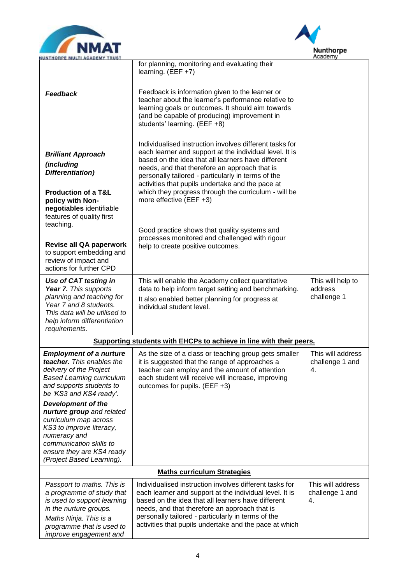



| NUNTHORPE MULTI ACADEMY TRUST                                                                                                                                                                                                                                                                    |                                                                                                                                                                                                                                                                                                                                                                                                                                                                                                                                                               | Academy                                     |
|--------------------------------------------------------------------------------------------------------------------------------------------------------------------------------------------------------------------------------------------------------------------------------------------------|---------------------------------------------------------------------------------------------------------------------------------------------------------------------------------------------------------------------------------------------------------------------------------------------------------------------------------------------------------------------------------------------------------------------------------------------------------------------------------------------------------------------------------------------------------------|---------------------------------------------|
| <b>Feedback</b>                                                                                                                                                                                                                                                                                  | for planning, monitoring and evaluating their<br>learning. $(EEF +7)$<br>Feedback is information given to the learner or<br>teacher about the learner's performance relative to<br>learning goals or outcomes. It should aim towards<br>(and be capable of producing) improvement in<br>students' learning. (EEF +8)                                                                                                                                                                                                                                          |                                             |
| <b>Brilliant Approach</b><br>(including<br>Differentiation)<br><b>Production of a T&amp;L</b><br>policy with Non-<br>negotiables identifiable<br>features of quality first<br>teaching.<br>Revise all QA paperwork<br>to support embedding and<br>review of impact and                           | Individualised instruction involves different tasks for<br>each learner and support at the individual level. It is<br>based on the idea that all learners have different<br>needs, and that therefore an approach that is<br>personally tailored - particularly in terms of the<br>activities that pupils undertake and the pace at<br>which they progress through the curriculum - will be<br>more effective (EEF +3)<br>Good practice shows that quality systems and<br>processes monitored and challenged with rigour<br>help to create positive outcomes. |                                             |
| actions for further CPD<br><b>Use of CAT testing in</b><br>Year 7. This supports<br>planning and teaching for<br>Year 7 and 8 students.<br>This data will be utilised to<br>help inform differentiation<br>requirements.                                                                         | This will enable the Academy collect quantitative<br>data to help inform target setting and benchmarking.<br>It also enabled better planning for progress at<br>individual student level.                                                                                                                                                                                                                                                                                                                                                                     | This will help to<br>address<br>challenge 1 |
|                                                                                                                                                                                                                                                                                                  | Supporting students with EHCPs to achieve in line with their peers.                                                                                                                                                                                                                                                                                                                                                                                                                                                                                           |                                             |
| <b>Employment of a nurture</b><br>teacher. This enables the<br>delivery of the Project<br><b>Based Learning curriculum</b><br>and supports students to<br>be 'KS3 and KS4 ready'.<br><b>Development of the</b><br>nurture group and related<br>curriculum map across<br>KS3 to improve literacy, | As the size of a class or teaching group gets smaller<br>it is suggested that the range of approaches a<br>teacher can employ and the amount of attention<br>each student will receive will increase, improving<br>outcomes for pupils. (EEF +3)                                                                                                                                                                                                                                                                                                              | This will address<br>challenge 1 and<br>4.  |
| numeracy and<br>communication skills to<br>ensure they are KS4 ready<br>(Project Based Learning).                                                                                                                                                                                                |                                                                                                                                                                                                                                                                                                                                                                                                                                                                                                                                                               |                                             |
| <b>Maths curriculum Strategies</b>                                                                                                                                                                                                                                                               |                                                                                                                                                                                                                                                                                                                                                                                                                                                                                                                                                               |                                             |
| Passport to maths. This is<br>a programme of study that<br>is used to support learning<br>in the nurture groups.<br>Maths Ninja. This is a<br>programme that is used to<br>improve engagement and                                                                                                | Individualised instruction involves different tasks for<br>each learner and support at the individual level. It is<br>based on the idea that all learners have different<br>needs, and that therefore an approach that is<br>personally tailored - particularly in terms of the<br>activities that pupils undertake and the pace at which                                                                                                                                                                                                                     | This will address<br>challenge 1 and<br>4.  |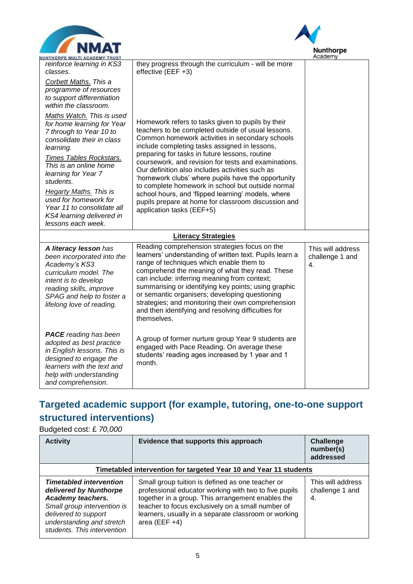



| Academy<br><b>IUNTHORPE MULTI ACADEMY TRUST</b>                                                                                                                                                            |                                                                                                                                                                                                                                                                                                                                                                                                                                                                                               |                                            |  |
|------------------------------------------------------------------------------------------------------------------------------------------------------------------------------------------------------------|-----------------------------------------------------------------------------------------------------------------------------------------------------------------------------------------------------------------------------------------------------------------------------------------------------------------------------------------------------------------------------------------------------------------------------------------------------------------------------------------------|--------------------------------------------|--|
| reinforce learning in KS3<br>classes.                                                                                                                                                                      | they progress through the curriculum - will be more<br>effective (EEF +3)                                                                                                                                                                                                                                                                                                                                                                                                                     |                                            |  |
| Corbett Maths. This a<br>programme of resources<br>to support differentiation<br>within the classroom.                                                                                                     |                                                                                                                                                                                                                                                                                                                                                                                                                                                                                               |                                            |  |
| Maths Watch. This is used<br>for home learning for Year<br>7 through to Year 10 to<br>consolidate their in class<br>learning.                                                                              | Homework refers to tasks given to pupils by their<br>teachers to be completed outside of usual lessons.<br>Common homework activities in secondary schools<br>include completing tasks assigned in lessons,                                                                                                                                                                                                                                                                                   |                                            |  |
| Times Tables Rockstars.<br>This is an online home<br>learning for Year 7<br>students.                                                                                                                      | preparing for tasks in future lessons, routine<br>coursework, and revision for tests and examinations.<br>Our definition also includes activities such as<br>'homework clubs' where pupils have the opportunity<br>to complete homework in school but outside normal                                                                                                                                                                                                                          |                                            |  |
| <b>Hegarty Maths. This is</b><br>used for homework for<br>Year 11 to consolidate all<br>KS4 learning delivered in<br>lessons each week.                                                                    | school hours, and 'flipped learning' models, where<br>pupils prepare at home for classroom discussion and<br>application tasks (EEF+5)                                                                                                                                                                                                                                                                                                                                                        |                                            |  |
|                                                                                                                                                                                                            | <b>Literacy Strategies</b>                                                                                                                                                                                                                                                                                                                                                                                                                                                                    |                                            |  |
| A literacy lesson has<br>been incorporated into the<br>Academy's KS3<br>curriculum model. The<br>intent is to develop<br>reading skills, improve<br>SPAG and help to foster a<br>lifelong love of reading. | Reading comprehension strategies focus on the<br>learners' understanding of written text. Pupils learn a<br>range of techniques which enable them to<br>comprehend the meaning of what they read. These<br>can include: inferring meaning from context;<br>summarising or identifying key points; using graphic<br>or semantic organisers; developing questioning<br>strategies; and monitoring their own comprehension<br>and then identifying and resolving difficulties for<br>themselves. | This will address<br>challenge 1 and<br>4. |  |
| <b>PACE</b> reading has been<br>adopted as best practice<br>in English lessons. This is<br>designed to engage the<br>learners with the text and<br>help with understanding<br>and comprehension.           | A group of former nurture group Year 9 students are<br>engaged with Pace Reading. On average these<br>students' reading ages increased by 1 year and 1<br>month.                                                                                                                                                                                                                                                                                                                              |                                            |  |

## **Targeted academic support (for example, tutoring, one-to-one support structured interventions)**

Budgeted cost: £ *70,000*

| <b>Activity</b>                                                                                                                                                                                  | Evidence that supports this approach                                                                                                                                                                                                                                                            | Challenge<br>number(s)<br>addressed        |
|--------------------------------------------------------------------------------------------------------------------------------------------------------------------------------------------------|-------------------------------------------------------------------------------------------------------------------------------------------------------------------------------------------------------------------------------------------------------------------------------------------------|--------------------------------------------|
| Timetabled intervention for targeted Year 10 and Year 11 students                                                                                                                                |                                                                                                                                                                                                                                                                                                 |                                            |
| <b>Timetabled intervention</b><br>delivered by Nunthorpe<br>Academy teachers.<br>Small group intervention is<br>delivered to support<br>understanding and stretch<br>students. This intervention | Small group tuition is defined as one teacher or<br>professional educator working with two to five pupils<br>together in a group. This arrangement enables the<br>teacher to focus exclusively on a small number of<br>learners, usually in a separate classroom or working<br>area (EEF $+4$ ) | This will address<br>challenge 1 and<br>4. |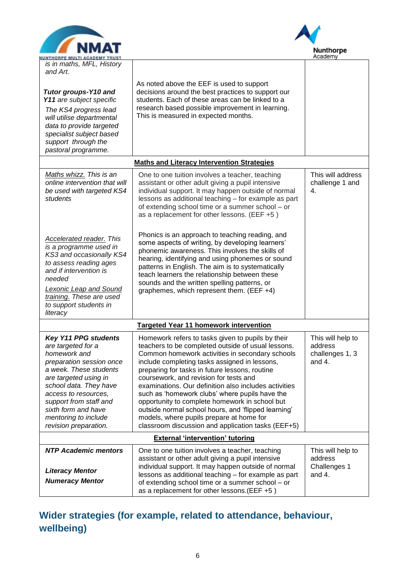



| <b>NUNTHORPE MULTI ACADEMY TRUST</b>                                                                                                                                                                                                                                                                 |                                                                                                                                                                                                                                                                                                                                                                                                                                                                                                                                                                                                                               | мсааетту                                                  |
|------------------------------------------------------------------------------------------------------------------------------------------------------------------------------------------------------------------------------------------------------------------------------------------------------|-------------------------------------------------------------------------------------------------------------------------------------------------------------------------------------------------------------------------------------------------------------------------------------------------------------------------------------------------------------------------------------------------------------------------------------------------------------------------------------------------------------------------------------------------------------------------------------------------------------------------------|-----------------------------------------------------------|
| is in maths, MFL, History<br>and Art.                                                                                                                                                                                                                                                                |                                                                                                                                                                                                                                                                                                                                                                                                                                                                                                                                                                                                                               |                                                           |
| <b>Tutor groups-Y10 and</b><br>Y11 are subject specific<br>The KS4 progress lead<br>will utilise departmental<br>data to provide targeted<br>specialist subject based<br>support through the<br>pastoral programme.                                                                                  | As noted above the EEF is used to support<br>decisions around the best practices to support our<br>students. Each of these areas can be linked to a<br>research based possible improvement in learning.<br>This is measured in expected months.                                                                                                                                                                                                                                                                                                                                                                               |                                                           |
|                                                                                                                                                                                                                                                                                                      | <b>Maths and Literacy Intervention Strategies</b>                                                                                                                                                                                                                                                                                                                                                                                                                                                                                                                                                                             |                                                           |
| Maths whizz. This is an<br>online intervention that will<br>be used with targeted KS4<br>students                                                                                                                                                                                                    | One to one tuition involves a teacher, teaching<br>assistant or other adult giving a pupil intensive<br>individual support. It may happen outside of normal<br>lessons as additional teaching - for example as part<br>of extending school time or a summer school - or<br>as a replacement for other lessons. (EEF +5)                                                                                                                                                                                                                                                                                                       | This will address<br>challenge 1 and<br>4.                |
| <b>Accelerated reader. This</b><br>is a programme used in<br>KS3 and occasionally KS4<br>to assess reading ages<br>and if intervention is<br>needed<br><b>Lexonic Leap and Sound</b><br>training. These are used<br>to support students in<br>literacy                                               | Phonics is an approach to teaching reading, and<br>some aspects of writing, by developing learners'<br>phonemic awareness. This involves the skills of<br>hearing, identifying and using phonemes or sound<br>patterns in English. The aim is to systematically<br>teach learners the relationship between these<br>sounds and the written spelling patterns, or<br>graphemes, which represent them. (EEF +4)                                                                                                                                                                                                                 |                                                           |
|                                                                                                                                                                                                                                                                                                      | <b>Targeted Year 11 homework intervention</b>                                                                                                                                                                                                                                                                                                                                                                                                                                                                                                                                                                                 |                                                           |
| <b>Key Y11 PPG students</b><br>are targeted for a<br>homework and<br>preparation session once<br>a week. These students<br>are targeted using in<br>school data. They have<br>access to resources,<br>support from staff and<br>sixth form and have<br>mentoring to include<br>revision preparation. | Homework refers to tasks given to pupils by their<br>teachers to be completed outside of usual lessons.<br>Common homework activities in secondary schools<br>include completing tasks assigned in lessons,<br>preparing for tasks in future lessons, routine<br>coursework, and revision for tests and<br>examinations. Our definition also includes activities<br>such as 'homework clubs' where pupils have the<br>opportunity to complete homework in school but<br>outside normal school hours, and 'flipped learning'<br>models, where pupils prepare at home for<br>classroom discussion and application tasks (EEF+5) | This will help to<br>address<br>challenges 1, 3<br>and 4. |
|                                                                                                                                                                                                                                                                                                      | <b>External 'intervention' tutoring</b>                                                                                                                                                                                                                                                                                                                                                                                                                                                                                                                                                                                       |                                                           |
| <b>NTP Academic mentors</b><br><b>Literacy Mentor</b><br><b>Numeracy Mentor</b>                                                                                                                                                                                                                      | One to one tuition involves a teacher, teaching<br>assistant or other adult giving a pupil intensive<br>individual support. It may happen outside of normal<br>lessons as additional teaching - for example as part<br>of extending school time or a summer school - or<br>as a replacement for other lessons. (EEF +5)                                                                                                                                                                                                                                                                                                       | This will help to<br>address<br>Challenges 1<br>and 4.    |

**Wider strategies (for example, related to attendance, behaviour, wellbeing)**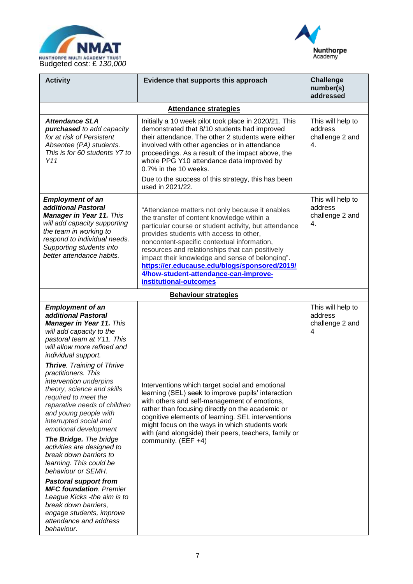



| <b>Activity</b>                                                                                                                                                                                                                                                                                                                                                                                                                                                                                                                                                                                                                                                                                                                                                                           | Evidence that supports this approach                                                                                                                                                                                                                                                                                                                                                                                                                                       | <b>Challenge</b><br>number(s)<br>addressed            |
|-------------------------------------------------------------------------------------------------------------------------------------------------------------------------------------------------------------------------------------------------------------------------------------------------------------------------------------------------------------------------------------------------------------------------------------------------------------------------------------------------------------------------------------------------------------------------------------------------------------------------------------------------------------------------------------------------------------------------------------------------------------------------------------------|----------------------------------------------------------------------------------------------------------------------------------------------------------------------------------------------------------------------------------------------------------------------------------------------------------------------------------------------------------------------------------------------------------------------------------------------------------------------------|-------------------------------------------------------|
|                                                                                                                                                                                                                                                                                                                                                                                                                                                                                                                                                                                                                                                                                                                                                                                           | <b>Attendance strategies</b>                                                                                                                                                                                                                                                                                                                                                                                                                                               |                                                       |
| <b>Attendance SLA</b><br>purchased to add capacity<br>for at risk of Persistent<br>Absentee (PA) students.<br>This is for 60 students Y7 to<br>Y11                                                                                                                                                                                                                                                                                                                                                                                                                                                                                                                                                                                                                                        | Initially a 10 week pilot took place in 2020/21. This<br>demonstrated that 8/10 students had improved<br>their attendance. The other 2 students were either<br>involved with other agencies or in attendance<br>proceedings. As a result of the impact above, the<br>whole PPG Y10 attendance data improved by<br>0.7% in the 10 weeks.<br>Due to the success of this strategy, this has been<br>used in 2021/22.                                                          | This will help to<br>address<br>challenge 2 and<br>4. |
| <b>Employment of an</b><br>additional Pastoral<br><b>Manager in Year 11. This</b><br>will add capacity supporting<br>the team in working to<br>respond to individual needs.<br>Supporting students into<br>better attendance habits.                                                                                                                                                                                                                                                                                                                                                                                                                                                                                                                                                      | "Attendance matters not only because it enables<br>the transfer of content knowledge within a<br>particular course or student activity, but attendance<br>provides students with access to other,<br>noncontent-specific contextual information,<br>resources and relationships that can positively<br>impact their knowledge and sense of belonging".<br>https://er.educause.edu/blogs/sponsored/2019/<br>4/how-student-attendance-can-improve-<br>institutional-outcomes | This will help to<br>address<br>challenge 2 and<br>4. |
|                                                                                                                                                                                                                                                                                                                                                                                                                                                                                                                                                                                                                                                                                                                                                                                           | <b>Behaviour strategies</b>                                                                                                                                                                                                                                                                                                                                                                                                                                                |                                                       |
| <b>Employment of an</b><br>additional Pastoral<br><b>Manager in Year 11. This</b><br>will add capacity to the<br>pastoral team at Y11. This<br>will allow more refined and<br>individual support.<br><b>Thrive.</b> Training of Thrive<br>practitioners. This<br>intervention underpins<br>theory, science and skills<br>required to meet the<br>reparative needs of children<br>and young people with<br>interrupted social and<br>emotional development<br>The Bridge. The bridge<br>activities are designed to<br>break down barriers to<br>learning. This could be<br>behaviour or SEMH.<br><b>Pastoral support from</b><br><b>MFC foundation. Premier</b><br>League Kicks -the aim is to<br>break down barriers,<br>engage students, improve<br>attendance and address<br>behaviour. | Interventions which target social and emotional<br>learning (SEL) seek to improve pupils' interaction<br>with others and self-management of emotions,<br>rather than focusing directly on the academic or<br>cognitive elements of learning. SEL interventions<br>might focus on the ways in which students work<br>with (and alongside) their peers, teachers, family or<br>community. (EEF +4)                                                                           | This will help to<br>address<br>challenge 2 and<br>4  |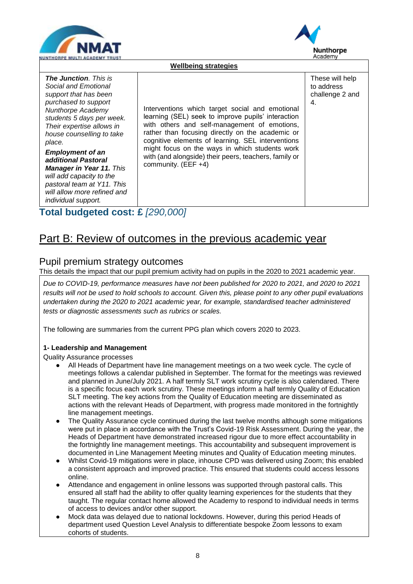



| <b>IUNTHORPE MULTI ACADEMY TRUST</b>                                                                                                                                                                                                                                                                                                                                                                                                     |                                                                                                                                                                                                                                                                                                                                                                                                  | Academy                                                |  |
|------------------------------------------------------------------------------------------------------------------------------------------------------------------------------------------------------------------------------------------------------------------------------------------------------------------------------------------------------------------------------------------------------------------------------------------|--------------------------------------------------------------------------------------------------------------------------------------------------------------------------------------------------------------------------------------------------------------------------------------------------------------------------------------------------------------------------------------------------|--------------------------------------------------------|--|
|                                                                                                                                                                                                                                                                                                                                                                                                                                          | <b>Wellbeing strategies</b>                                                                                                                                                                                                                                                                                                                                                                      |                                                        |  |
| <b>The Junction</b> . This is<br>Social and Emotional<br>support that has been<br>purchased to support<br><b>Nunthorpe Academy</b><br>students 5 days per week.<br>Their expertise allows in<br>house counselling to take<br>place.<br><b>Employment of an</b><br>additional Pastoral<br><b>Manager in Year 11. This</b><br>will add capacity to the<br>pastoral team at Y11. This<br>will allow more refined and<br>individual support. | Interventions which target social and emotional<br>learning (SEL) seek to improve pupils' interaction<br>with others and self-management of emotions,<br>rather than focusing directly on the academic or<br>cognitive elements of learning. SEL interventions<br>might focus on the ways in which students work<br>with (and alongside) their peers, teachers, family or<br>community. (EEF +4) | These will help<br>to address<br>challenge 2 and<br>4. |  |

## **Total budgeted cost: £** *[290,000]*

## Part B: Review of outcomes in the previous academic year

### Pupil premium strategy outcomes

This details the impact that our pupil premium activity had on pupils in the 2020 to 2021 academic year.

*Due to COVID-19, performance measures have not been published for 2020 to 2021, and 2020 to 2021 results will not be used to hold schools to account. Given this, please point to any other pupil evaluations undertaken during the 2020 to 2021 academic year, for example, standardised teacher administered tests or diagnostic assessments such as rubrics or scales.*

The following are summaries from the current PPG plan which covers 2020 to 2023.

### **1- Leadership and Management**

Quality Assurance processes

- All Heads of Department have line management meetings on a two week cycle. The cycle of meetings follows a calendar published in September. The format for the meetings was reviewed and planned in June/July 2021. A half termly SLT work scrutiny cycle is also calendared. There is a specific focus each work scrutiny. These meetings inform a half termly Quality of Education SLT meeting. The key actions from the Quality of Education meeting are disseminated as actions with the relevant Heads of Department, with progress made monitored in the fortnightly line management meetings.
- The Quality Assurance cycle continued during the last twelve months although some mitigations were put in place in accordance with the Trust's Covid-19 Risk Assessment. During the year, the Heads of Department have demonstrated increased rigour due to more effect accountability in the fortnightly line management meetings. This accountability and subsequent improvement is documented in Line Management Meeting minutes and Quality of Education meeting minutes.
- Whilst Covid-19 mitigations were in place, inhouse CPD was delivered using Zoom; this enabled a consistent approach and improved practice. This ensured that students could access lessons online.
- Attendance and engagement in online lessons was supported through pastoral calls. This ensured all staff had the ability to offer quality learning experiences for the students that they taught. The regular contact home allowed the Academy to respond to individual needs in terms of access to devices and/or other support.
- Mock data was delayed due to national lockdowns. However, during this period Heads of department used Question Level Analysis to differentiate bespoke Zoom lessons to exam cohorts of students.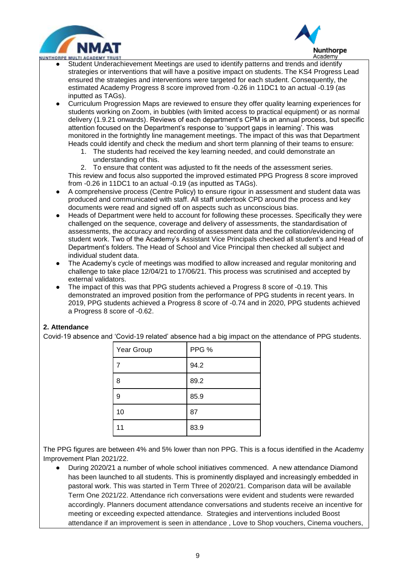



- $\overline{a}$ ● Student Underachievement Meetings are used to identify patterns and trends and identify strategies or interventions that will have a positive impact on students. The KS4 Progress Lead ensured the strategies and interventions were targeted for each student. Consequently, the estimated Academy Progress 8 score improved from -0.26 in 11DC1 to an actual -0.19 (as inputted as TAGs).
- Curriculum Progression Maps are reviewed to ensure they offer quality learning experiences for students working on Zoom, in bubbles (with limited access to practical equipment) or as normal delivery (1.9.21 onwards). Reviews of each department's CPM is an annual process, but specific attention focused on the Department's response to 'support gaps in learning'. This was monitored in the fortnightly line management meetings. The impact of this was that Department Heads could identify and check the medium and short term planning of their teams to ensure:
	- 1. The students had received the key learning needed, and could demonstrate an understanding of this.

2. To ensure that content was adjusted to fit the needs of the assessment series. This review and focus also supported the improved estimated PPG Progress 8 score improved from -0.26 in 11DC1 to an actual -0.19 (as inputted as TAGs).

- A comprehensive process (Centre Policy) to ensure rigour in assessment and student data was produced and communicated with staff. All staff undertook CPD around the process and key documents were read and signed off on aspects such as unconscious bias.
- Heads of Department were held to account for following these processes. Specifically they were challenged on the sequence, coverage and delivery of assessments, the standardisation of assessments, the accuracy and recording of assessment data and the collation/evidencing of student work. Two of the Academy's Assistant Vice Principals checked all student's and Head of Department's folders. The Head of School and Vice Principal then checked all subject and individual student data.
- The Academy's cycle of meetings was modified to allow increased and regular monitoring and challenge to take place 12/04/21 to 17/06/21. This process was scrutinised and accepted by external validators.
- The impact of this was that PPG students achieved a Progress 8 score of -0.19. This demonstrated an improved position from the performance of PPG students in recent years. In 2019, PPG students achieved a Progress 8 score of -0.74 and in 2020, PPG students achieved a Progress 8 score of -0.62.

### **2. Attendance**

Covid-19 absence and 'Covid-19 related' absence had a big impact on the attendance of PPG students.

| Year Group | PPG % |
|------------|-------|
| 7          | 94.2  |
| 8          | 89.2  |
| 9          | 85.9  |
| 10         | 87    |
| 11         | 83.9  |

The PPG figures are between 4% and 5% lower than non PPG. This is a focus identified in the Academy Improvement Plan 2021/22.

● During 2020/21 a number of whole school initiatives commenced. A new attendance Diamond has been launched to all students. This is prominently displayed and increasingly embedded in pastoral work. This was started in Term Three of 2020/21. Comparison data will be available Term One 2021/22. Attendance rich conversations were evident and students were rewarded accordingly. Planners document attendance conversations and students receive an incentive for meeting or exceeding expected attendance. Strategies and interventions included Boost attendance if an improvement is seen in attendance , Love to Shop vouchers, Cinema vouchers,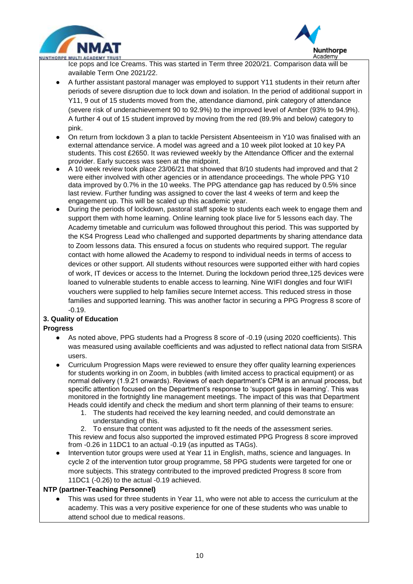



 $\overline{a}$ Ice pops and Ice Creams. This was started in Term three 2020/21. Comparison data will be available Term One 2021/22.

- A further assistant pastoral manager was employed to support Y11 students in their return after periods of severe disruption due to lock down and isolation. In the period of additional support in Y11, 9 out of 15 students moved from the, attendance diamond, pink category of attendance (severe risk of underachievement 90 to 92.9%) to the improved level of Amber (93% to 94.9%). A further 4 out of 15 student improved by moving from the red (89.9% and below) category to pink.
- On return from lockdown 3 a plan to tackle Persistent Absenteeism in Y10 was finalised with an external attendance service. A model was agreed and a 10 week pilot looked at 10 key PA students. This cost £2650. It was reviewed weekly by the Attendance Officer and the external provider. Early success was seen at the midpoint.
- A 10 week review took place 23/06/21 that showed that 8/10 students had improved and that 2 were either involved with other agencies or in attendance proceedings. The whole PPG Y10 data improved by 0.7% in the 10 weeks. The PPG attendance gap has reduced by 0.5% since last review. Further funding was assigned to cover the last 4 weeks of term and keep the engagement up. This will be scaled up this academic year.
- During the periods of lockdown, pastoral staff spoke to students each week to engage them and support them with home learning. Online learning took place live for 5 lessons each day. The Academy timetable and curriculum was followed throughout this period. This was supported by the KS4 Progress Lead who challenged and supported departments by sharing attendance data to Zoom lessons data. This ensured a focus on students who required support. The regular contact with home allowed the Academy to respond to individual needs in terms of access to devices or other support. All students without resources were supported either with hard copies of work, IT devices or access to the Internet. During the lockdown period three,125 devices were loaned to vulnerable students to enable access to learning. Nine WIFI dongles and four WIFI vouchers were supplied to help families secure Internet access. This reduced stress in those families and supported learning. This was another factor in securing a PPG Progress 8 score of -0.19.

### **3. Quality of Education**

### **Progress**

- As noted above, PPG students had a Progress 8 score of -0.19 (using 2020 coefficients). This was measured using available coefficients and was adjusted to reflect national data from SISRA users.
- Curriculum Progression Maps were reviewed to ensure they offer quality learning experiences for students working in on Zoom, in bubbles (with limited access to practical equipment) or as normal delivery (1.9.21 onwards). Reviews of each department's CPM is an annual process, but specific attention focused on the Department's response to 'support gaps in learning'. This was monitored in the fortnightly line management meetings. The impact of this was that Department Heads could identify and check the medium and short term planning of their teams to ensure:
	- 1. The students had received the key learning needed, and could demonstrate an understanding of this.

2. To ensure that content was adjusted to fit the needs of the assessment series. This review and focus also supported the improved estimated PPG Progress 8 score improved from -0.26 in 11DC1 to an actual -0.19 (as inputted as TAGs).

Intervention tutor groups were used at Year 11 in English, maths, science and languages. In cycle 2 of the intervention tutor group programme, 58 PPG students were targeted for one or more subjects. This strategy contributed to the improved predicted Progress 8 score from 11DC1 (-0.26) to the actual -0.19 achieved.

### **NTP (partner-Teaching Personnel)**

This was used for three students in Year 11, who were not able to access the curriculum at the academy. This was a very positive experience for one of these students who was unable to attend school due to medical reasons.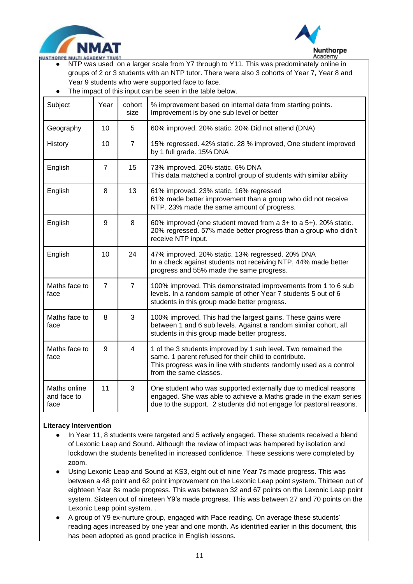



- $\overline{a}$ ● NTP was used on a larger scale from Y7 through to Y11. This was predominately online in groups of 2 or 3 students with an NTP tutor. There were also 3 cohorts of Year 7, Year 8 and Year 9 students who were supported face to face.
- The impact of this input can be seen in the table below.

| Subject                             | Year           | cohort<br>size | % improvement based on internal data from starting points.<br>Improvement is by one sub level or better                                                                                                                |
|-------------------------------------|----------------|----------------|------------------------------------------------------------------------------------------------------------------------------------------------------------------------------------------------------------------------|
| Geography                           | 10             | 5              | 60% improved. 20% static. 20% Did not attend (DNA)                                                                                                                                                                     |
| History                             | 10             | $\overline{7}$ | 15% regressed. 42% static. 28 % improved, One student improved<br>by 1 full grade. 15% DNA                                                                                                                             |
| English                             | $\overline{7}$ | 15             | 73% improved. 20% static. 6% DNA<br>This data matched a control group of students with similar ability                                                                                                                 |
| English                             | 8              | 13             | 61% improved. 23% static. 16% regressed<br>61% made better improvement than a group who did not receive<br>NTP. 23% made the same amount of progress.                                                                  |
| English<br>9                        |                | 8              | 60% improved (one student moved from a 3+ to a 5+). 20% static.<br>20% regressed. 57% made better progress than a group who didn't<br>receive NTP input.                                                               |
| English                             | 10             | 24             | 47% improved. 20% static. 13% regressed. 20% DNA<br>In a check against students not receiving NTP, 44% made better<br>progress and 55% made the same progress.                                                         |
| Maths face to<br>face               | $\overline{7}$ | $\overline{7}$ | 100% improved. This demonstrated improvements from 1 to 6 sub<br>levels. In a random sample of other Year 7 students 5 out of 6<br>students in this group made better progress.                                        |
| Maths face to<br>face               | 8              | 3              | 100% improved. This had the largest gains. These gains were<br>between 1 and 6 sub levels. Against a random similar cohort, all<br>students in this group made better progress.                                        |
| Maths face to<br>face               | 9              | $\overline{4}$ | 1 of the 3 students improved by 1 sub level. Two remained the<br>same. 1 parent refused for their child to contribute.<br>This progress was in line with students randomly used as a control<br>from the same classes. |
| Maths online<br>and face to<br>face | 11             | 3              | One student who was supported externally due to medical reasons<br>engaged. She was able to achieve a Maths grade in the exam series<br>due to the support. 2 students did not engage for pastoral reasons.            |

#### **Literacy Intervention**

- In Year 11, 8 students were targeted and 5 actively engaged. These students received a blend of Lexonic Leap and Sound. Although the review of impact was hampered by isolation and lockdown the students benefited in increased confidence. These sessions were completed by zoom.
- Using Lexonic Leap and Sound at KS3, eight out of nine Year 7s made progress. This was between a 48 point and 62 point improvement on the Lexonic Leap point system. Thirteen out of eighteen Year 8s made progress. This was between 32 and 67 points on the Lexonic Leap point system. Sixteen out of nineteen Y9's made progress. This was between 27 and 70 points on the Lexonic Leap point system. .
- A group of Y9 ex-nurture group, engaged with Pace reading. On average these students' reading ages increased by one year and one month. As identified earlier in this document, this has been adopted as good practice in English lessons.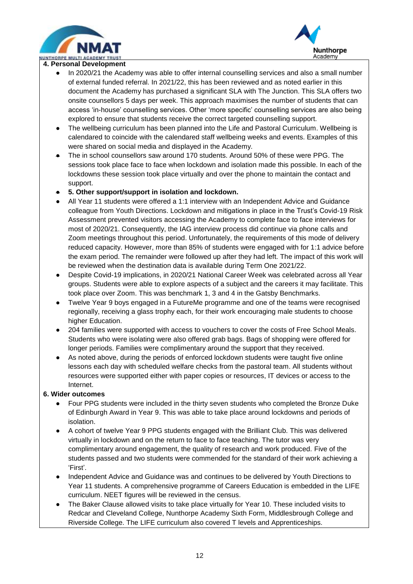



#### $\overline{a}$ **4. Personal Development**

- In 2020/21 the Academy was able to offer internal counselling services and also a small number of external funded referral. In 2021/22, this has been reviewed and as noted earlier in this document the Academy has purchased a significant SLA with The Junction. This SLA offers two onsite counsellors 5 days per week. This approach maximises the number of students that can access 'in-house' counselling services. Other 'more specific' counselling services are also being explored to ensure that students receive the correct targeted counselling support.
- The wellbeing curriculum has been planned into the Life and Pastoral Curriculum. Wellbeing is calendared to coincide with the calendared staff wellbeing weeks and events. Examples of this were shared on social media and displayed in the Academy.
- The in school counsellors saw around 170 students. Around 50% of these were PPG. The sessions took place face to face when lockdown and isolation made this possible. In each of the lockdowns these session took place virtually and over the phone to maintain the contact and support.
- **5. Other support/support in isolation and lockdown.**
- All Year 11 students were offered a 1:1 interview with an Independent Advice and Guidance colleague from Youth Directions. Lockdown and mitigations in place in the Trust's Covid-19 Risk Assessment prevented visitors accessing the Academy to complete face to face interviews for most of 2020/21. Consequently, the IAG interview process did continue via phone calls and Zoom meetings throughout this period. Unfortunately, the requirements of this mode of delivery reduced capacity. However, more than 85% of students were engaged with for 1:1 advice before the exam period. The remainder were followed up after they had left. The impact of this work will be reviewed when the destination data is available during Term One 2021/22.
- Despite Covid-19 implications, in 2020/21 National Career Week was celebrated across all Year groups. Students were able to explore aspects of a subject and the careers it may facilitate. This took place over Zoom. This was benchmark 1, 3 and 4 in the Gatsby Benchmarks.
- Twelve Year 9 boys engaged in a FutureMe programme and one of the teams were recognised regionally, receiving a glass trophy each, for their work encouraging male students to choose higher Education.
- 204 families were supported with access to vouchers to cover the costs of Free School Meals. Students who were isolating were also offered grab bags. Bags of shopping were offered for longer periods. Families were complimentary around the support that they received.
- As noted above, during the periods of enforced lockdown students were taught five online lessons each day with scheduled welfare checks from the pastoral team. All students without resources were supported either with paper copies or resources, IT devices or access to the Internet.

### **6. Wider outcomes**

- Four PPG students were included in the thirty seven students who completed the Bronze Duke of Edinburgh Award in Year 9. This was able to take place around lockdowns and periods of isolation.
- A cohort of twelve Year 9 PPG students engaged with the Brilliant Club. This was delivered virtually in lockdown and on the return to face to face teaching. The tutor was very complimentary around engagement, the quality of research and work produced. Five of the students passed and two students were commended for the standard of their work achieving a 'First'.
- Independent Advice and Guidance was and continues to be delivered by Youth Directions to Year 11 students. A comprehensive programme of Careers Education is embedded in the LIFE curriculum. NEET figures will be reviewed in the census.
- The Baker Clause allowed visits to take place virtually for Year 10. These included visits to Redcar and Cleveland College, Nunthorpe Academy Sixth Form, Middlesbrough College and Riverside College. The LIFE curriculum also covered T levels and Apprenticeships.